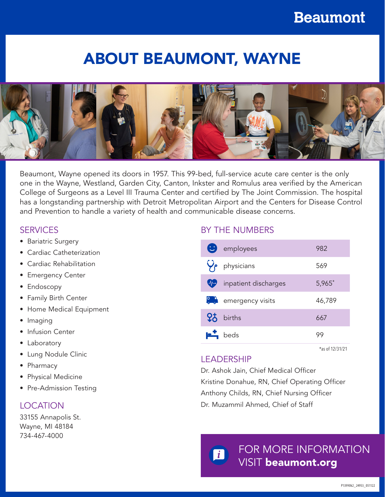# ABOUT BEAUMONT, WAYNE



Beaumont, Wayne opened its doors in 1957. This 99-bed, full-service acute care center is the only one in the Wayne, Westland, Garden City, Canton, Inkster and Romulus area verified by the American College of Surgeons as a Level III Trauma Center and certified by The Joint Commission. The hospital has a longstanding partnership with Detroit Metropolitan Airport and the Centers for Disease Control and Prevention to handle a variety of health and communicable disease concerns.

# **SERVICES**

- Bariatric Surgery
- Cardiac Catheterization
- Cardiac Rehabilitation
- Emergency Center
- Endoscopy
- Family Birth Center
- Home Medical Equipment
- Imaging
- Infusion Center
- Laboratory
- Lung Nodule Clinic
- Pharmacy
- Physical Medicine
- Pre-Admission Testing

# LOCATION

33155 Annapolis St. Wayne, MI 48184 734-467-4000

# BY THE NUMBERS

|                    | <b>B</b> employees             | 982    |
|--------------------|--------------------------------|--------|
|                    | physicians                     | 569    |
| $\bigtriangledown$ | inpatient discharges           | 5,965* |
|                    | $\frac{1}{2}$ emergency visits | 46,789 |
|                    | $95$ births                    | 667    |
|                    | $\mathbf{F}$ beds              | 99     |

\*as of 12/31/21

# LEADERSHIP

Dr. Ashok Jain, Chief Medical Officer Kristine Donahue, RN, Chief Operating Officer Anthony Childs, RN, Chief Nursing Officer Dr. Muzammil Ahmed, Chief of Staff

FOR MORE INFORMATION VISIT beaumont.org